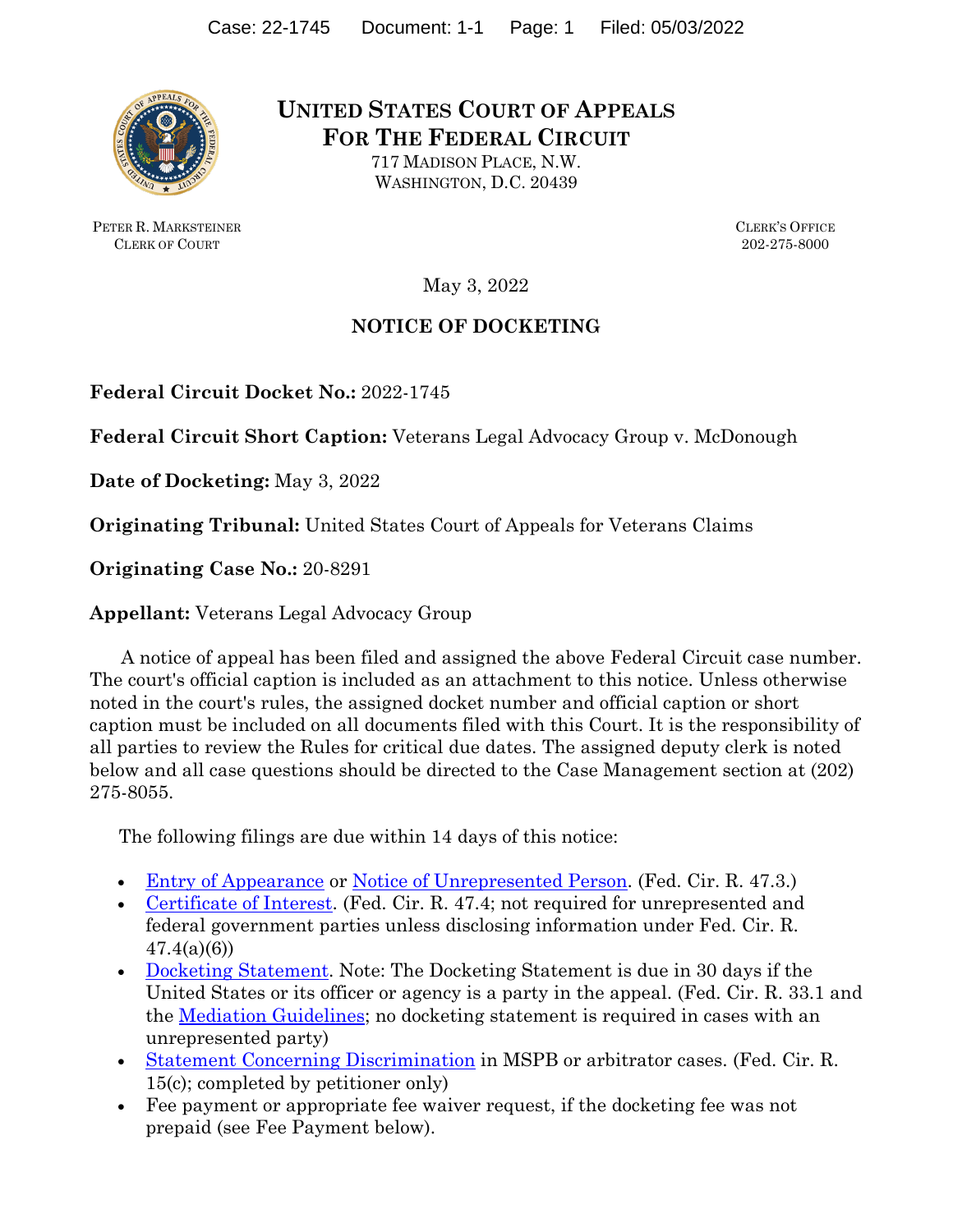

PETER R. MARKSTEINER CLERK OF COURT

**UNITED STATES COURT OF APPEALS FOR THE FEDERAL CIRCUIT** 

> 717 MADISON PLACE, N.W. WASHINGTON, D.C. 20439

> > CLERK'S OFFICE 202-275-8000

May 3, 2022

## **NOTICE OF DOCKETING**

**Federal Circuit Docket No.:** 2022-1745

**Federal Circuit Short Caption:** Veterans Legal Advocacy Group v. McDonough

**Date of Docketing:** May 3, 2022

**Originating Tribunal:** United States Court of Appeals for Veterans Claims

**Originating Case No.:** 20-8291

**Appellant:** Veterans Legal Advocacy Group

 A notice of appeal has been filed and assigned the above Federal Circuit case number. The court's official caption is included as an attachment to this notice. Unless otherwise noted in the court's rules, the assigned docket number and official caption or short caption must be included on all documents filed with this Court. It is the responsibility of all parties to review the Rules for critical due dates. The assigned deputy clerk is noted below and all case questions should be directed to the Case Management section at (202) 275-8055.

The following filings are due within 14 days of this notice:

- [Entry of Appearance](https://cafc.uscourts.gov/wp-content/uploads/form8a.pdf) or [Notice of Unrepresented Person.](https://cafc.uscourts.gov/wp-content/uploads/form8b.pdf) (Fed. Cir. R. 47.3.)
- [Certificate of Interest.](https://cafc.uscourts.gov/wp-content/uploads/form9.pdf) (Fed. Cir. R. 47.4; not required for unrepresented and federal government parties unless disclosing information under Fed. Cir. R.  $47.4(a)(6)$
- [Docketing Statement.](https://cafc.uscourts.gov/wp-content/uploads/form26.pdf) Note: The Docketing Statement is due in 30 days if the United States or its officer or agency is a party in the appeal. (Fed. Cir. R. 33.1 and the <u>Mediation Guidelines</u>; no docketing statement is required in cases with an unrepresented party)
- [Statement Concerning Discrimination](https://cafc.uscourts.gov/wp-content/uploads/form10.pdf) in MSPB or arbitrator cases. (Fed. Cir. R. 15(c); completed by petitioner only)
- Fee payment or appropriate fee waiver request, if the docketing fee was not prepaid (see Fee Payment below).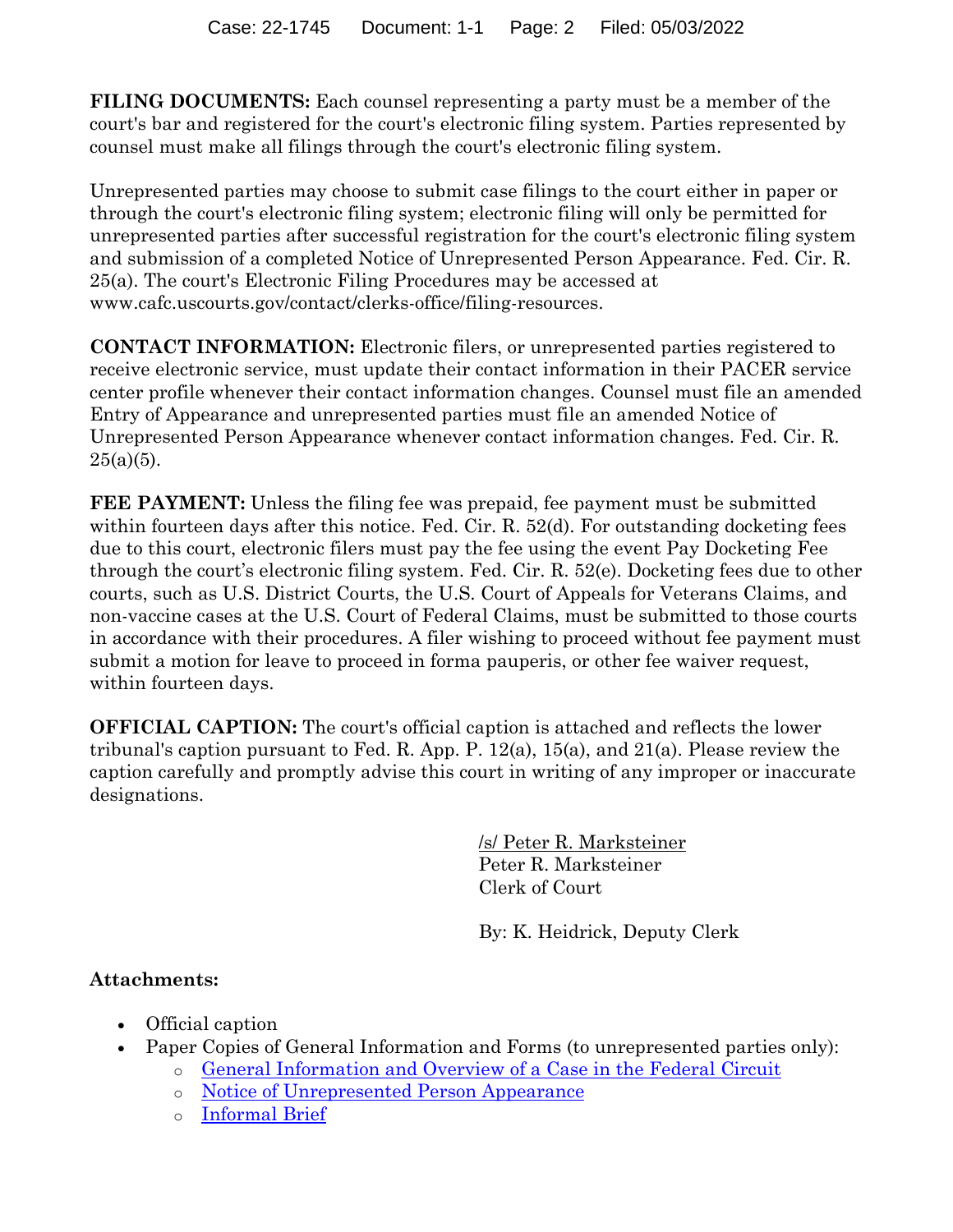**FILING DOCUMENTS:** Each counsel representing a party must be a member of the court's bar and registered for the court's electronic filing system. Parties represented by counsel must make all filings through the court's electronic filing system.

Unrepresented parties may choose to submit case filings to the court either in paper or through the court's electronic filing system; electronic filing will only be permitted for unrepresented parties after successful registration for the court's electronic filing system and submission of a completed Notice of Unrepresented Person Appearance. Fed. Cir. R. 25(a). The court's Electronic Filing Procedures may be accessed at www.cafc.uscourts.gov/contact/clerks-office/filing-resources.

**CONTACT INFORMATION:** Electronic filers, or unrepresented parties registered to receive electronic service, must update their contact information in their PACER service center profile whenever their contact information changes. Counsel must file an amended Entry of Appearance and unrepresented parties must file an amended Notice of Unrepresented Person Appearance whenever contact information changes. Fed. Cir. R.  $25(a)(5)$ .

**FEE PAYMENT:** Unless the filing fee was prepaid, fee payment must be submitted within fourteen days after this notice. Fed. Cir. R. 52(d). For outstanding docketing fees due to this court, electronic filers must pay the fee using the event Pay Docketing Fee through the court's electronic filing system. Fed. Cir. R. 52(e). Docketing fees due to other courts, such as U.S. District Courts, the U.S. Court of Appeals for Veterans Claims, and non-vaccine cases at the U.S. Court of Federal Claims, must be submitted to those courts in accordance with their procedures. A filer wishing to proceed without fee payment must submit a motion for leave to proceed in forma pauperis, or other fee waiver request, within fourteen days.

**OFFICIAL CAPTION:** The court's official caption is attached and reflects the lower tribunal's caption pursuant to Fed. R. App. P. 12(a), 15(a), and 21(a). Please review the caption carefully and promptly advise this court in writing of any improper or inaccurate designations.

> /s/ Peter R. Marksteiner Peter R. Marksteiner Clerk of Court

By: K. Heidrick, Deputy Clerk

# **Attachments:**

- Official caption
- Paper Copies of General Information and Forms (to unrepresented parties only):
	- o [General Information and Overview of a Case in the Federal Circuit](https://s38144.pcdn.co/wp-content/uploads/UnrepresentedPartiesGuide-InfoOverview.pdf)
	- o [Notice of Unrepresented Person Appearance](https://cafc.uscourts.gov/wp-content/uploads/form8b.pdf)
	- o [Informal Brief](https://cafc.uscourts.gov/home/rules-procedures-forms/court-forms/)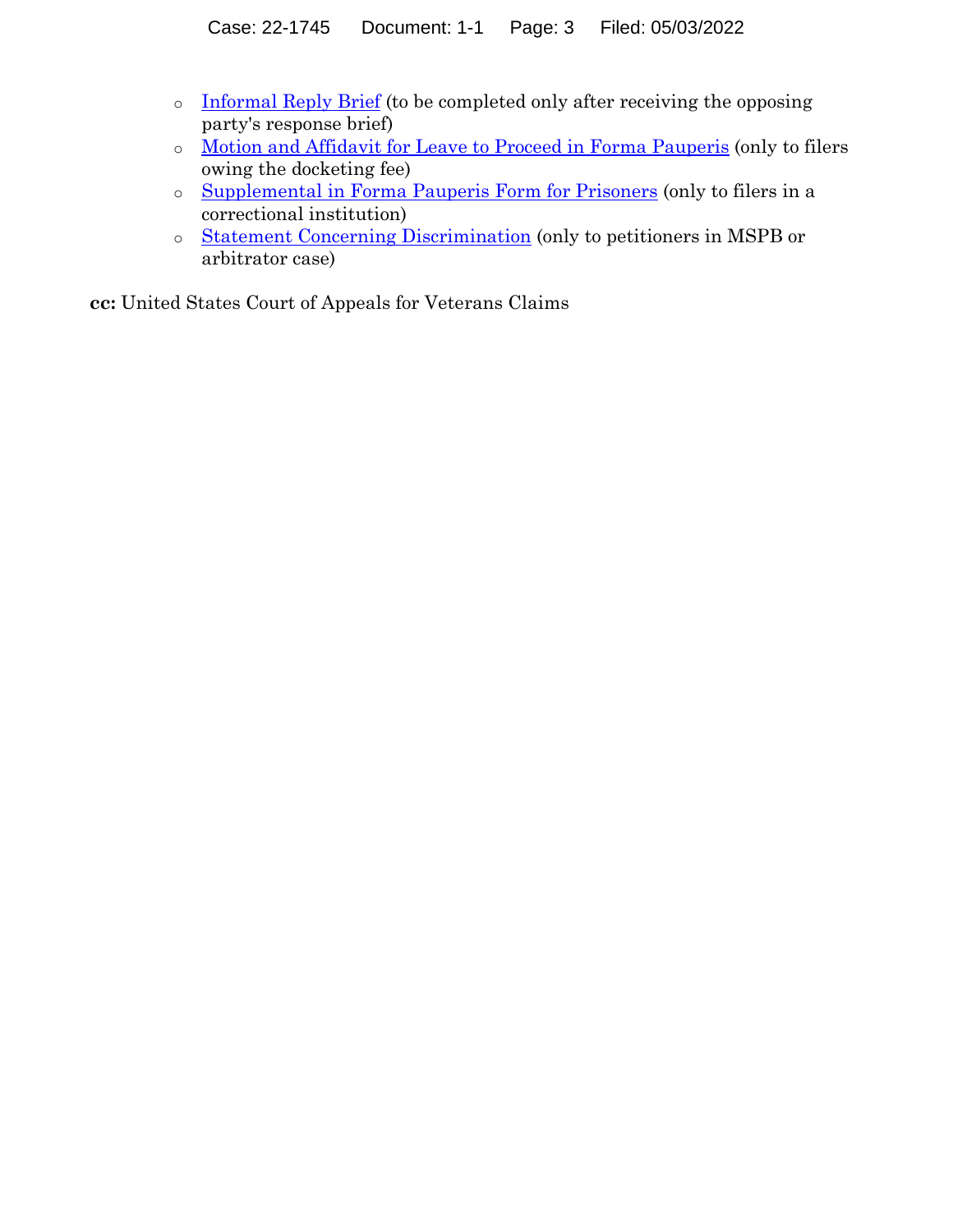- o [Informal Reply Brief](https://cafc.uscourts.gov/wp-content/uploads/form17.pdf) (to be completed only after receiving the opposing party's response brief)
- o [Motion and Affidavit for Leave to Proceed in Forma Pauperis](https://cafc.uscourts.gov/wp-content/uploads/form6.pdf) (only to filers owing the docketing fee)
- o [Supplemental in Forma Pauperis Form for Prisoners](https://cafc.uscourts.gov/wp-content/uploads/form6a.pdf) (only to filers in a correctional institution)
- o [Statement Concerning Discrimination](https://cafc.uscourts.gov/wp-content/uploads/form10.pdf) (only to petitioners in MSPB or arbitrator case)

**cc:** United States Court of Appeals for Veterans Claims